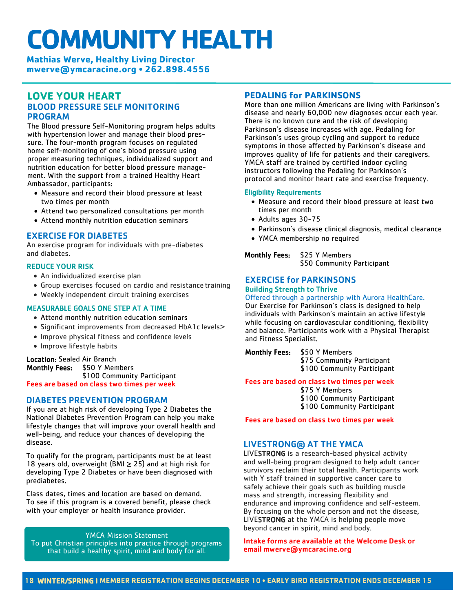# **COMMUNITY HEALTH**

**Mathias Werve, Healthy Living Director [mwerve@ymcaracine.org](mailto:lboehm@ymcaracine.org)** • **262.898.4556**

# **LOVE YOUR HEART** BLOOD PRESSURE SELF MONITORING PROGRAM

The Blood pressure Self-Monitoring program helps adults with hypertension lower and manage their blood pressure. The four-month program focuses on regulated home self-monitoring of one's blood pressure using proper measuring techniques, individualized support and nutrition education for better blood pressure management. With the support from a trained Healthy Heart Ambassador, participants:

- Measure and record their blood pressure at least two times per month
- Attend two personalized consultations per month
- Attend monthly nutrition education seminars

# EXERCISE FOR DIABETES

An exercise program for individuals with pre-diabetes and diabetes.

#### REDUCE YOUR RISK

- An individualized exercise plan
- Group exercises focused on cardio and resistance training
- Weekly independent circuit training exercises

### MEASURABLE GOALS ONE STEP AT A TIME

- Attend monthly nutrition education seminars
- Significant improvements from decreased HbA1c levels>
- Improve physical fitness and confidence levels
- Improve lifestyle habits

# Location: Sealed Air Branch<br>Monthly Fees: \$50 Y Men

\$50 Y Members \$100 Community Participant Fees are based on class two times per week

## DIABETES PREVENTION PROGRAM

If you are at high risk of developing Type 2 Diabetes the National Diabetes Prevention Program can help you make lifestyle changes that will improve your overall health and well-being, and reduce your chances of developing the disease.

To qualify for the program, participants must be at least 18 years old, overweight (BMI  $\geq$  25) and at high risk for developing Type 2 Diabetes or have been diagnosed with prediabetes.

Class dates, times and location are based on demand. To see if this program is a covered benefit, please check with your employer or health insurance provider.

YMCA Mission Statement To put Christian principles into practice through programs that build a healthy spirit, mind and body for all.

# **PEDALING for PARKINSONS**

More than one million Americans are living with Parkinson's disease and nearly 60,000 new diagnoses occur each year. There is no known cure and the risk of developing Parkinson's disease increases with age. Pedaling for Parkinson's uses group cycling and support to reduce symptoms in those affected by Parkinson's disease and improves quality of life for patients and their caregivers. YMCA staff are trained by certified indoor cycling instructors following the Pedaling for Parkinson's protocol and monitor heart rate and exercise frequency.

#### Eligibility Requirements

- Measure and record their blood pressure at least two times per month
- Adults ages 30-75
- Parkinson's disease clinical diagnosis, medical clearance
- YMCA membership no required

Monthly Fees: \$25 Y Members \$50 Community Participant

#### EXERCISE for PARKINSONS Building Strength to Thrive

#### Offered through a partnership with Aurora HealthCare.

Our Exercise for Parkinson's class is designed to help individuals with Parkinson's maintain an active lifestyle while focusing on cardiovascular conditioning, flexibility and balance. Participants work with a Physical Therapist and Fitness Specialist.

Monthly Fees: \$50 Y Members \$75 Community Participant

\$100 Community Participant

Fees are based on class two times per week

#### \$75 Y Members

\$100 Community Participant

\$100 Community Participant

Fees are based on class two times per week

# LIVESTRONG® AT THE YMCA

LIVESTRONG is a research-based physical activity and well-being program designed to help adult cancer survivors reclaim their total health. Participants work with Y staff trained in supportive cancer care to safely achieve their goals such as building muscle mass and strength, increasing flexibility and endurance and improving confidence and self-esteem. By focusing on the whole person and not the disease, LIVESTRONG at the YMCA is helping people move beyond cancer in spirit, mind and body.

#### Intake forms are available at the Welcome Desk or email mwerve@ymcaracine.org